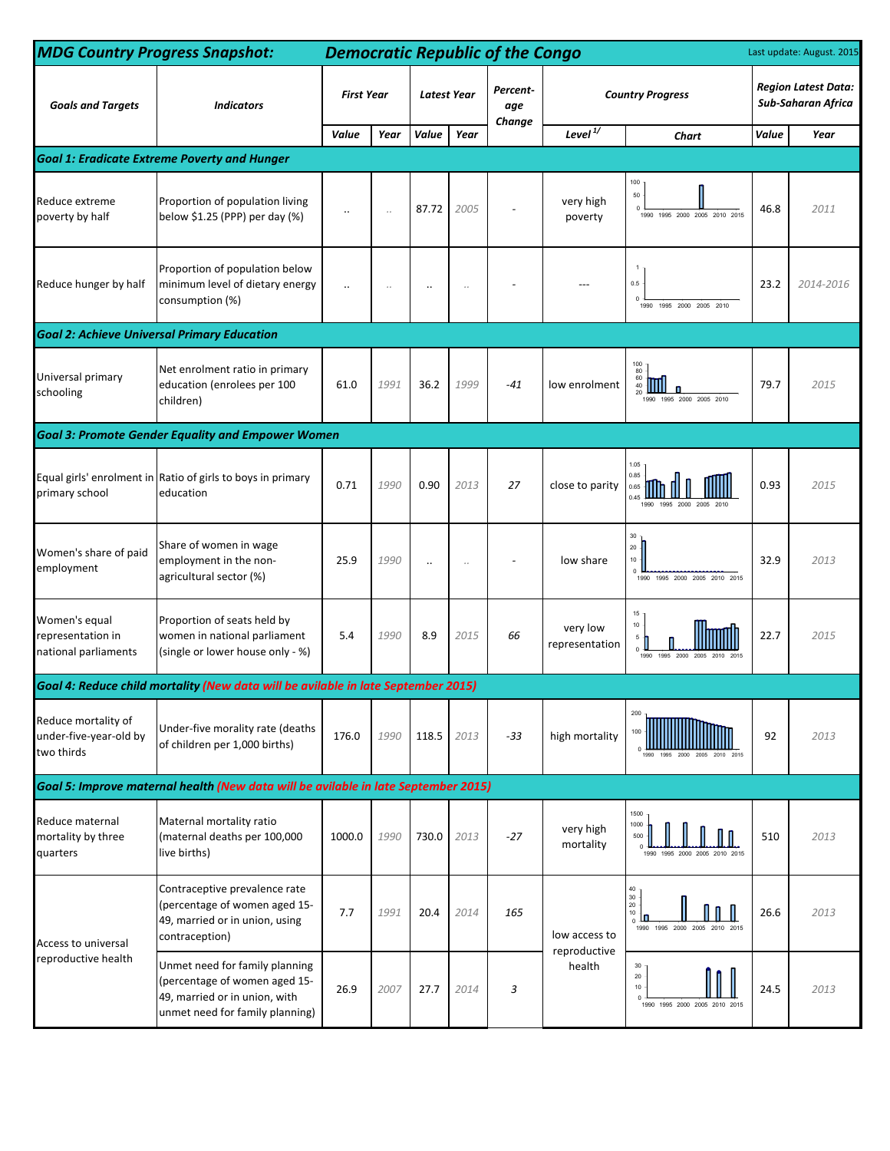| <b>MDG Country Progress Snapshot:</b>                       |                                                                                                                                     |                   | <b>Democratic Republic of the Congo</b><br>Last update: August. 2015 |                      |                      |                 |                            |                                                                                      |                                                  |           |  |
|-------------------------------------------------------------|-------------------------------------------------------------------------------------------------------------------------------------|-------------------|----------------------------------------------------------------------|----------------------|----------------------|-----------------|----------------------------|--------------------------------------------------------------------------------------|--------------------------------------------------|-----------|--|
| <b>Goals and Targets</b>                                    | <b>Indicators</b>                                                                                                                   | <b>First Year</b> |                                                                      | <b>Latest Year</b>   |                      | Percent-<br>age | <b>Country Progress</b>    |                                                                                      | <b>Region Latest Data:</b><br>Sub-Saharan Africa |           |  |
|                                                             |                                                                                                                                     | Value             | Year                                                                 | Value                | Year                 | Change          | Level $\overline{17}$      | Chart                                                                                | Value                                            | Year      |  |
| <b>Goal 1: Eradicate Extreme Poverty and Hunger</b>         |                                                                                                                                     |                   |                                                                      |                      |                      |                 |                            |                                                                                      |                                                  |           |  |
| Reduce extreme<br>poverty by half                           | Proportion of population living<br>below \$1.25 (PPP) per day (%)                                                                   | $\cdot$ .         | $\cdot$ .                                                            | 87.72                | 2005                 |                 | very high<br>poverty       | 100<br>$50\,$<br>1990 1995 2000 2005 2010 2015                                       | 46.8                                             | 2011      |  |
| Reduce hunger by half                                       | Proportion of population below<br>minimum level of dietary energy<br>consumption (%)                                                | $\ddotsc$         |                                                                      | $\ddot{\phantom{a}}$ | $\ddot{\phantom{a}}$ |                 |                            | 0.5<br>$\Omega$<br>1995 2000 2005 2010<br>1990                                       | 23.2                                             | 2014-2016 |  |
| <b>Goal 2: Achieve Universal Primary Education</b>          |                                                                                                                                     |                   |                                                                      |                      |                      |                 |                            |                                                                                      |                                                  |           |  |
| Universal primary<br>schooling                              | Net enrolment ratio in primary<br>education (enrolees per 100<br>children)                                                          | 61.0              | 1991                                                                 | 36.2                 | 1999                 | $-41$           | low enrolment              | 100<br>$\begin{array}{c} 80 \\ 60 \\ 40 \end{array}$<br>1990 1995 2000 2005 2010     | 79.7                                             | 2015      |  |
| <b>Goal 3: Promote Gender Equality and Empower Women</b>    |                                                                                                                                     |                   |                                                                      |                      |                      |                 |                            |                                                                                      |                                                  |           |  |
| primary school                                              | Equal girls' enrolment in Ratio of girls to boys in primary<br>education                                                            | 0.71              | 1990                                                                 | 0.90                 | 2013                 | 27              | close to parity            | 1.05<br>0.85<br>0.65<br>1990<br>1995 2000<br>2005 2010                               | 0.93                                             | 2015      |  |
| Women's share of paid<br>employment                         | Share of women in wage<br>employment in the non-<br>agricultural sector (%)                                                         | 25.9              | 1990                                                                 | $\ddot{\phantom{0}}$ | $\ddot{\phantom{a}}$ |                 | low share                  | $30\,$<br>$20 -$<br>10<br>$\Omega$<br>1990 1995 2000 2005 2010 2015                  | 32.9                                             | 2013      |  |
| Women's equal<br>representation in<br>national parliaments  | Proportion of seats held by<br>women in national parliament<br>(single or lower house only - %)                                     | 5.4               | 1990                                                                 | 8.9                  | 2015                 | 66              | very low<br>representation | 15<br>10<br>5<br>1990<br>1995                                                        | 22.7                                             | 2015      |  |
|                                                             | Goal 4: Reduce child mortality (New data will be avilable in late September 2015)                                                   |                   |                                                                      |                      |                      |                 |                            |                                                                                      |                                                  |           |  |
| Reduce mortality of<br>under-five-year-old by<br>two thirds | Under-five morality rate (deaths<br>of children per 1,000 births)                                                                   | 176.0             | 1990                                                                 | 118.5                | 2013                 | $-33$           | high mortality             | 200<br>100<br>2000<br>2005<br>2010 2015<br>1995                                      | 92                                               | 2013      |  |
|                                                             | Goal 5: Improve maternal health (New data will be avilable in late September 2015)                                                  |                   |                                                                      |                      |                      |                 |                            |                                                                                      |                                                  |           |  |
| Reduce maternal<br>mortality by three<br>quarters           | Maternal mortality ratio<br>(maternal deaths per 100,000<br>live births)                                                            | 1000.0            | 1990                                                                 | 730.0                | 2013                 | $-27$           | very high<br>mortality     | 1500<br>1000<br>500<br>1995 2000 2005 2010 2015<br>1990                              | 510                                              | 2013      |  |
| Access to universal<br>reproductive health                  | Contraceptive prevalence rate<br>(percentage of women aged 15-<br>49, married or in union, using<br>contraception)                  | 7.7               | 1991                                                                 | 20.4                 | 2014                 | 165             | low access to              | $\begin{array}{c} 40 \\ 30 \\ 20 \end{array}$<br>10<br>1990 1995 2000 2005 2010 2015 | 26.6                                             | 2013      |  |
|                                                             | Unmet need for family planning<br>(percentage of women aged 15-<br>49, married or in union, with<br>unmet need for family planning) | 26.9              | 2007                                                                 | 27.7                 | 2014                 | 3               | reproductive<br>health     | 30<br>20<br>10<br>1990 1995 2000 2005 2010 2015                                      | 24.5                                             | 2013      |  |